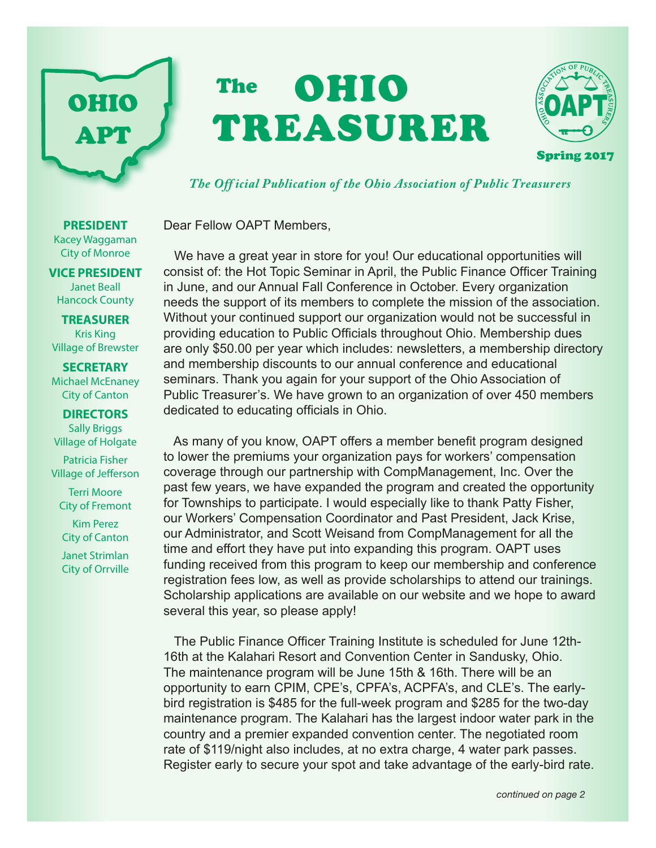

# OHIO TREASURER The



*The Off icial Publication of the Ohio Association of Public Treasurers*

Dear Fellow OAPT Members,

 We have a great year in store for you! Our educational opportunities will consist of: the Hot Topic Seminar in April, the Public Finance Officer Training in June, and our Annual Fall Conference in October. Every organization needs the support of its members to complete the mission of the association. Without your continued support our organization would not be successful in providing education to Public Officials throughout Ohio. Membership dues are only \$50.00 per year which includes: newsletters, a membership directory and membership discounts to our annual conference and educational seminars. Thank you again for your support of the Ohio Association of Public Treasurer's. We have grown to an organization of over 450 members dedicated to educating officials in Ohio.

 As many of you know, OAPT offers a member benefit program designed to lower the premiums your organization pays for workers' compensation coverage through our partnership with CompManagement, Inc. Over the past few years, we have expanded the program and created the opportunity for Townships to participate. I would especially like to thank Patty Fisher, our Workers' Compensation Coordinator and Past President, Jack Krise, our Administrator, and Scott Weisand from CompManagement for all the time and effort they have put into expanding this program. OAPT uses funding received from this program to keep our membership and conference registration fees low, as well as provide scholarships to attend our trainings. Scholarship applications are available on our website and we hope to award several this year, so please apply!

 The Public Finance Officer Training Institute is scheduled for June 12th-16th at the Kalahari Resort and Convention Center in Sandusky, Ohio. The maintenance program will be June 15th & 16th. There will be an opportunity to earn CPIM, CPE's, CPFA's, ACPFA's, and CLE's. The earlybird registration is \$485 for the full-week program and \$285 for the two-day maintenance program. The Kalahari has the largest indoor water park in the country and a premier expanded convention center. The negotiated room rate of \$119/night also includes, at no extra charge, 4 water park passes. Register early to secure your spot and take advantage of the early-bird rate.

#### Kacey Waggaman City of Monroe

**PRESIDENT**

**VICE PRESIDENT** Janet Beall Hancock County

**TREASURER** Kris King Village of Brewster

**SECRETARY** Michael McEnaney City of Canton

#### **DIRECTORS** Sally Briggs

Village of Holgate

Patricia Fisher Village of Jefferson

Terri Moore City of Fremont

Kim Perez City of Canton

Janet Strimlan City of Orrville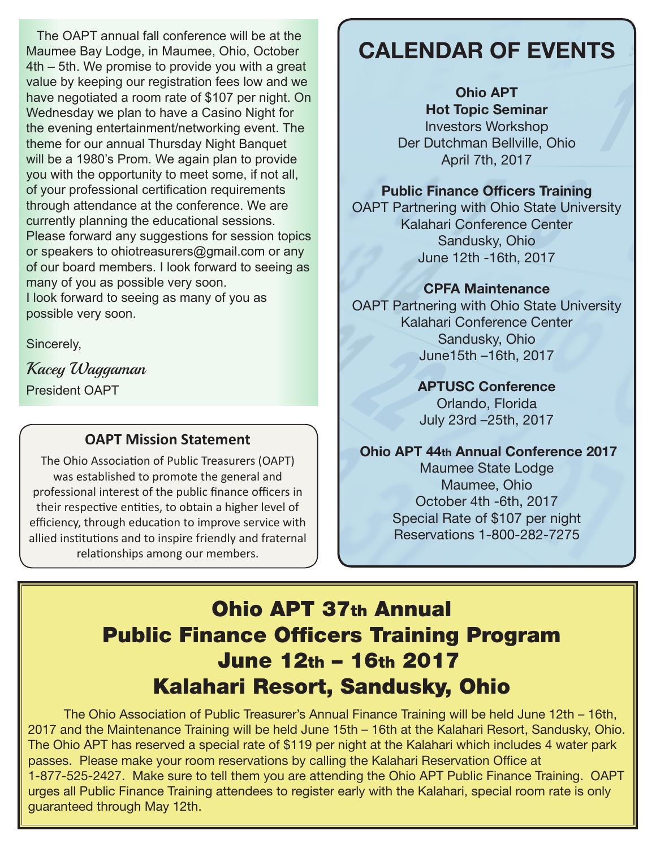The OAPT annual fall conference will be at the Maumee Bay Lodge, in Maumee, Ohio, October 4th – 5th. We promise to provide you with a great value by keeping our registration fees low and we have negotiated a room rate of \$107 per night. On Wednesday we plan to have a Casino Night for the evening entertainment/networking event. The theme for our annual Thursday Night Banquet will be a 1980's Prom. We again plan to provide you with the opportunity to meet some, if not all, of your professional certification requirements through attendance at the conference. We are currently planning the educational sessions. Please forward any suggestions for session topics or speakers to ohiotreasurers@gmail.com or any of our board members. I look forward to seeing as many of you as possible very soon. I look forward to seeing as many of you as possible very soon.

Sincerely,

Kacey Waggaman President OAPT

#### **OAPT Mission Statement**

The Ohio Association of Public Treasurers (OAPT) was established to promote the general and professional interest of the public finance officers in their respective entities, to obtain a higher level of efficiency, through education to improve service with allied institutions and to inspire friendly and fraternal relationships among our members.

# CALENDAR OF EVENTS

Ohio APT Hot Topic Seminar Investors Workshop Der Dutchman Bellville, Ohio April 7th, 2017

#### Public Finance Officers Training

OAPT Partnering with Ohio State University Kalahari Conference Center Sandusky, Ohio June 12th -16th, 2017

#### CPFA Maintenance

OAPT Partnering with Ohio State University Kalahari Conference Center Sandusky, Ohio June15th –16th, 2017

#### APTUSC Conference

Orlando, Florida July 23rd –25th, 2017

#### Ohio APT 44th Annual Conference 2017

Maumee State Lodge Maumee, Ohio October 4th -6th, 2017 Special Rate of \$107 per night Reservations 1-800-282-7275

# Ohio APT 37th Annual Public Finance Officers Training Program June 12th – 16th 2017 Kalahari Resort, Sandusky, Ohio

 The Ohio Association of Public Treasurer's Annual Finance Training will be held June 12th – 16th, 2017 and the Maintenance Training will be held June 15th – 16th at the Kalahari Resort, Sandusky, Ohio. The Ohio APT has reserved a special rate of \$119 per night at the Kalahari which includes 4 water park passes. Please make your room reservations by calling the Kalahari Reservation Office at 1-877-525-2427. Make sure to tell them you are attending the Ohio APT Public Finance Training. OAPT urges all Public Finance Training attendees to register early with the Kalahari, special room rate is only guaranteed through May 12th.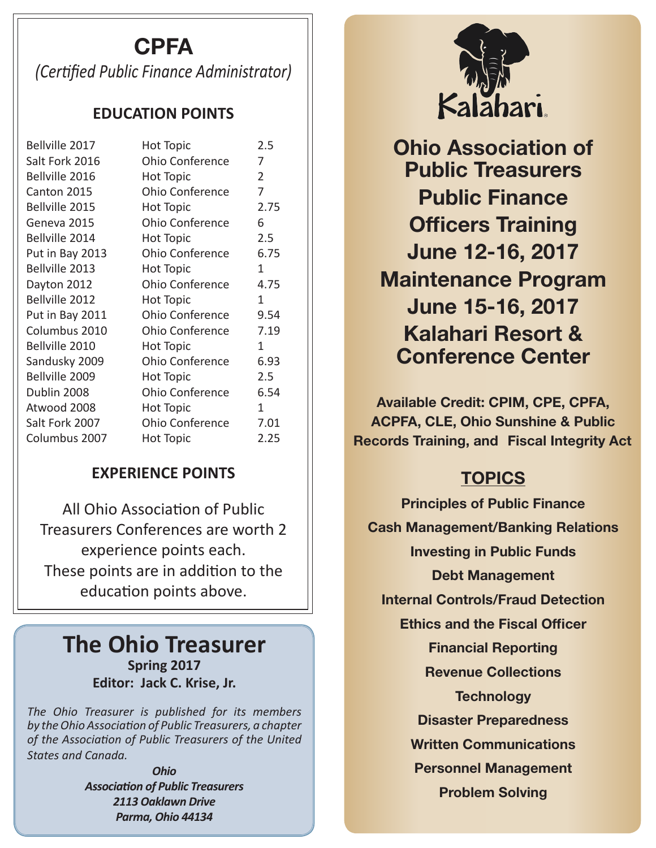# CPFA

*(Certified Public Finance Administrator)*

### **EDUCATION POINTS**

| Bellville 2017  | Hot Topic              | 2.5            |
|-----------------|------------------------|----------------|
| Salt Fork 2016  | <b>Ohio Conference</b> | 7              |
| Bellville 2016  | <b>Hot Topic</b>       | $\overline{2}$ |
| Canton 2015     | <b>Ohio Conference</b> | 7              |
| Bellville 2015  | Hot Topic              | 2.75           |
| Geneva 2015     | <b>Ohio Conference</b> | 6              |
| Bellville 2014  | Hot Topic              | 2.5            |
| Put in Bay 2013 | <b>Ohio Conference</b> | 6.75           |
| Bellville 2013  | Hot Topic              | 1              |
| Dayton 2012     | <b>Ohio Conference</b> | 4.75           |
| Bellville 2012  | <b>Hot Topic</b>       | 1              |
| Put in Bay 2011 | <b>Ohio Conference</b> | 9.54           |
| Columbus 2010   | <b>Ohio Conference</b> | 7.19           |
| Bellville 2010  | <b>Hot Topic</b>       | 1              |
| Sandusky 2009   | <b>Ohio Conference</b> | 6.93           |
| Bellville 2009  | <b>Hot Topic</b>       | 2.5            |
| Dublin 2008     | <b>Ohio Conference</b> | 6.54           |
| Atwood 2008     | <b>Hot Topic</b>       | 1              |
| Salt Fork 2007  | <b>Ohio Conference</b> | 7.01           |
| Columbus 2007   | <b>Hot Topic</b>       | 2.25           |
|                 |                        |                |

### **EXPERIENCE POINTS**

All Ohio Association of Public Treasurers Conferences are worth 2 experience points each. These points are in addition to the education points above.

## **The Ohio Treasurer Spring 2017 Editor: Jack C. Krise, Jr.**

*The Ohio Treasurer is published for its members by the Ohio Association of Public Treasurers, a chapter of the Association of Public Treasurers of the United States and Canada.*

> *Ohio Association of Public Treasurers 2113 Oaklawn Drive Parma, Ohio 44134*



Ohio Association of Public Treasurers Public Finance Officers Training June 12-16, 2017 Maintenance Program June 15-16, 2017 Kalahari Resort & Conference Center

Available Credit: CPIM, CPE, CPFA, ACPFA, CLE, Ohio Sunshine & Public Records Training, and Fiscal Integrity Act

## **TOPICS**

Principles of Public Finance Cash Management/Banking Relations Investing in Public Funds Debt Management Internal Controls/Fraud Detection Ethics and the Fiscal Officer Financial Reporting Revenue Collections **Technology** Disaster Preparedness Written Communications Personnel Management Problem Solving